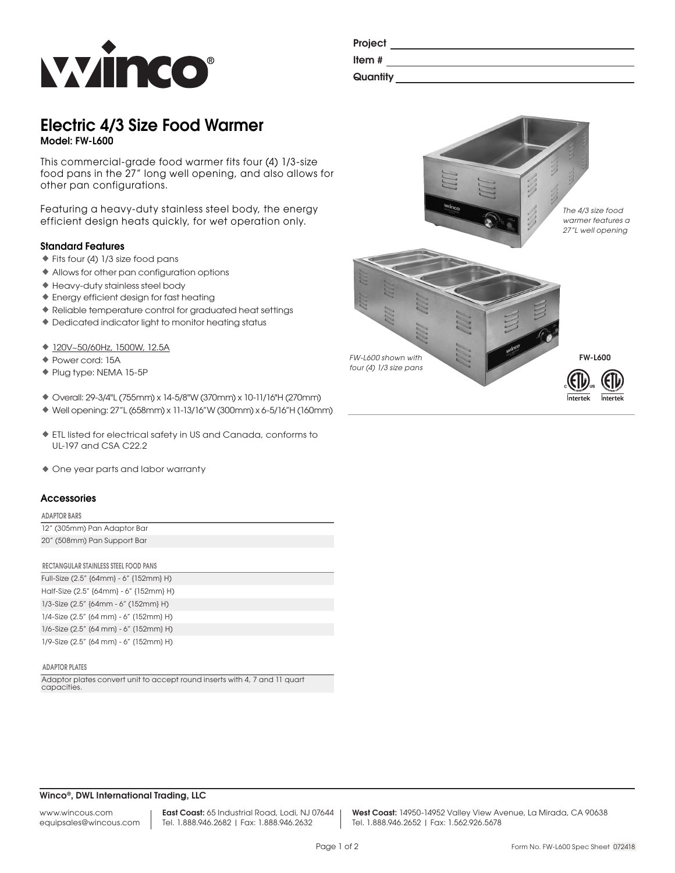

| Project  |  |  |  |
|----------|--|--|--|
| Item#    |  |  |  |
| Quantity |  |  |  |

# Electric 4/3 Size Food Warmer Model: FW-L600

This commercial-grade food warmer fits four (4) 1/3-size food pans in the 27" long well opening, and also allows for other pan configurations.

Featuring a heavy-duty stainless steel body, the energy efficient design heats quickly, for wet operation only.

# Standard Features

- ♦Fits four (4) 1/3 size food pans
- ♦Allows for other pan configuration options
- ♦Heavy-duty stainless steel body
- ♦Energy efficient design for fast heating
- ♦Reliable temperature control for graduated heat settings
- ♦Dedicated indicator light to monitor heating status
- ♦120V~50/60Hz, 1500W, 12.5A
- ♦Power cord: 15A
- ♦Plug type: NEMA 15-5P
- ♦ Overall: 29-3/4"L (755mm) x 14-5/8"W (370mm) x 10-11/16"H (270mm)
- ♦ Well opening: 27"L (658mm) x 11-13/16"W (300mm) x 6-5/16"H (160mm)
- ♦ETL listed for electrical safety in US and Canada, conforms to UL-197 and CSA C22.2
- ♦ One year parts and labor warranty

### **Accessories**

#### ADAPTOR BARS

| 12" (305mm) Pan Adaptor Bar |
|-----------------------------|
| 20" (508mm) Pan Support Bar |

| RECTANGULAR STAINLESS STEEL FOOD PANS     |
|-------------------------------------------|
| Full-Size (2.5" {64mm} - 6" {152mm} H)    |
| Half-Size (2.5" {64mm} - 6" {152mm} H)    |
| $1/3$ -Size (2.5" {64mm - 6" (152mm} H)   |
| $1/4$ -Size (2.5" (64 mm) - 6" (152mm) H) |
| $1/6$ -Size (2.5" (64 mm) - 6" (152mm) H) |
| 1/9-Size (2.5" (64 mm) - 6" (152mm) H)    |

#### ADAPTOR PLATES

Adaptor plates convert unit to accept round inserts with 4, 7 and 11 quart capacities.



# Winco®, DWL International Trading, LLC

www.wincous.com equipsales@wincous.com East Coast: 65 Industrial Road, Lodi, NJ 07644 Tel. 1.888.946.2682 | Fax: 1.888.946.2632

West Coast: 14950-14952 Valley View Avenue, La Mirada, CA 90638 Tel. 1.888.946.2652 | Fax: 1.562.926.5678